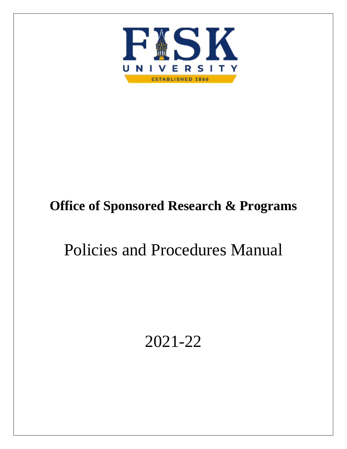

# **Office of Sponsored Research & Programs**

# Policies and Procedures Manual

# 2021-22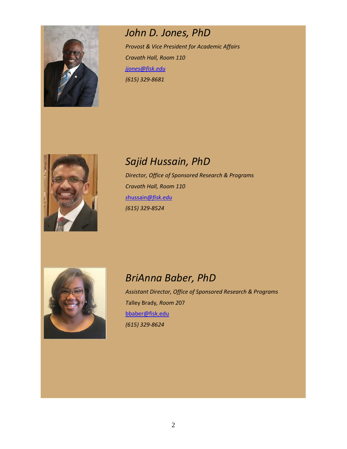

## *John D. Jones, PhD*

*Provost & Vice President for Academic Affairs Cravath Hall, Room 110 [jjones@fisk.edu](mailto:jjones@fisk.edu) (615) 329-8681*



# *Sajid Hussain, PhD*

*Director, Office of Sponsored Research & Programs Cravath Hall, Room 110 s*hussain*[@fisk.edu](mailto:shussain@fisk.edu) (615) 329-8524*



## *BriAnna Baber, PhD*

*Assistant Director, Office of Sponsored Research & Programs T*alley Brady*, Room 2*07 [bbaber@fisk.edu](mailto:bbaber@fisk.edu) *(615) 329-8624*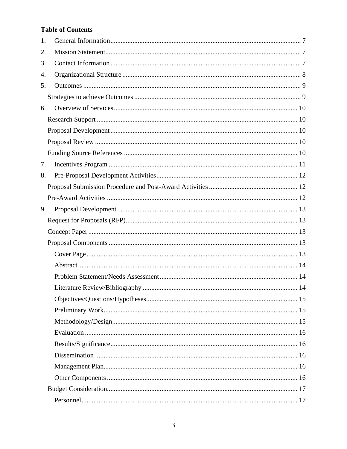## **Table of Contents**

| 1. |  |
|----|--|
| 2. |  |
| 3. |  |
| 4. |  |
| 5. |  |
|    |  |
| 6. |  |
|    |  |
|    |  |
|    |  |
|    |  |
| 7. |  |
| 8. |  |
|    |  |
|    |  |
| 9. |  |
|    |  |
|    |  |
|    |  |
|    |  |
|    |  |
|    |  |
|    |  |
|    |  |
|    |  |
|    |  |
|    |  |
|    |  |
|    |  |
|    |  |
|    |  |
|    |  |
|    |  |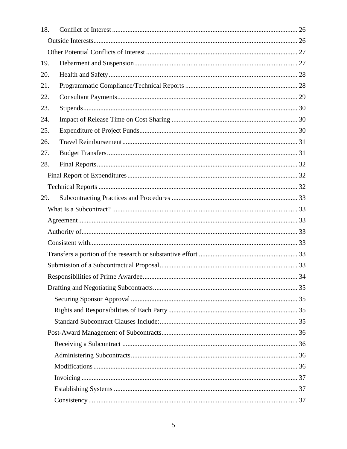| 18. |  |
|-----|--|
|     |  |
|     |  |
| 19. |  |
| 20. |  |
| 21. |  |
| 22. |  |
| 23. |  |
| 24. |  |
| 25. |  |
| 26. |  |
| 27. |  |
| 28. |  |
|     |  |
|     |  |
| 29. |  |
|     |  |
|     |  |
|     |  |
|     |  |
|     |  |
|     |  |
|     |  |
|     |  |
|     |  |
|     |  |
|     |  |
|     |  |
|     |  |
|     |  |
|     |  |
|     |  |
|     |  |
|     |  |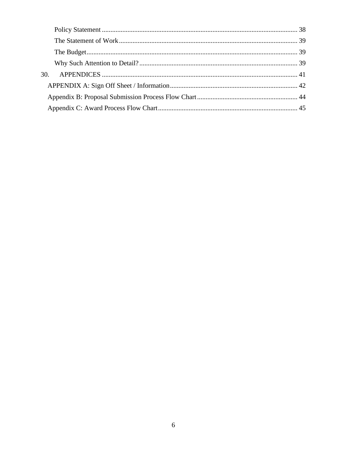| 30. |  |
|-----|--|
|     |  |
|     |  |
|     |  |
|     |  |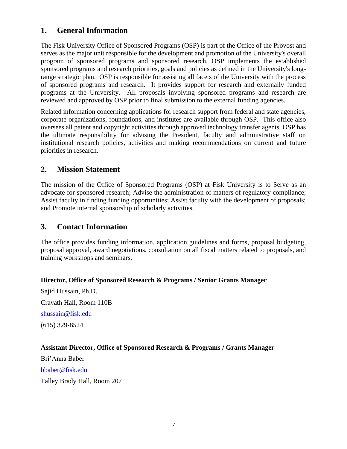## <span id="page-6-0"></span>**1. General Information**

The Fisk University Office of Sponsored Programs (OSP) is part of the Office of the Provost and serves as the major unit responsible for the development and promotion of the University's overall program of sponsored programs and sponsored research. OSP implements the established sponsored programs and research priorities, goals and policies as defined in the University's longrange strategic plan. OSP is responsible for assisting all facets of the University with the process of sponsored programs and research. It provides support for research and externally funded programs at the University. All proposals involving sponsored programs and research are reviewed and approved by OSP prior to final submission to the external funding agencies.

Related information concerning applications for research support from federal and state agencies, corporate organizations, foundations, and institutes are available through OSP. This office also oversees all patent and copyright activities through approved technology transfer agents. OSP has the ultimate responsibility for advising the President, faculty and administrative staff on institutional research policies, activities and making recommendations on current and future priorities in research.

## <span id="page-6-1"></span>**2. Mission Statement**

The mission of the Office of Sponsored Programs (OSP) at Fisk University is to Serve as an advocate for sponsored research; Advise the administration of matters of regulatory compliance; Assist faculty in finding funding opportunities; Assist faculty with the development of proposals; and Promote internal sponsorship of scholarly activities.

## <span id="page-6-2"></span>**3. Contact Information**

The office provides funding information, application guidelines and forms, proposal budgeting, proposal approval, award negotiations, consultation on all fiscal matters related to proposals, and training workshops and seminars.

## **Director, Office of Sponsored Research & Programs / Senior Grants Manager**

Sajid Hussain, Ph.D. Cravath Hall, Room 110B [shussain@fisk.edu](mailto:shussain@fisk.edu) (615) 329-8524

## **Assistant Director, Office of Sponsored Research & Programs / Grants Manager**

Bri'Anna Baber [bbaber@fisk.edu](mailto:bbaber@fisk.edu) Talley Brady Hall, Room 207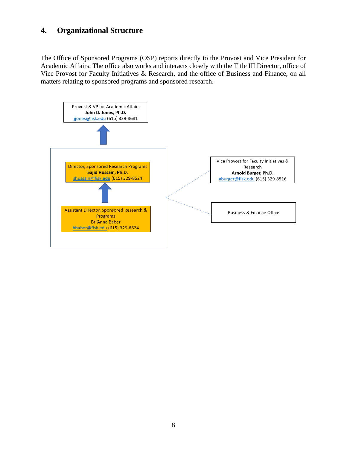## <span id="page-7-0"></span>**4. Organizational Structure**

The Office of Sponsored Programs (OSP) reports directly to the Provost and Vice President for Academic Affairs. The office also works and interacts closely with the Title III Director, office of Vice Provost for Faculty Initiatives & Research, and the office of Business and Finance, on all matters relating to sponsored programs and sponsored research.

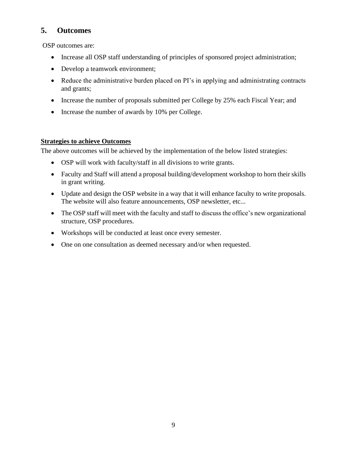## <span id="page-8-0"></span>**5. Outcomes**

OSP outcomes are:

- Increase all OSP staff understanding of principles of sponsored project administration;
- Develop a teamwork environment;
- Reduce the administrative burden placed on PI's in applying and administrating contracts and grants;
- Increase the number of proposals submitted per College by 25% each Fiscal Year; and
- Increase the number of awards by 10% per College.

### <span id="page-8-1"></span>**Strategies to achieve Outcomes**

The above outcomes will be achieved by the implementation of the below listed strategies:

- OSP will work with faculty/staff in all divisions to write grants.
- Faculty and Staff will attend a proposal building/development workshop to horn their skills in grant writing.
- Update and design the OSP website in a way that it will enhance faculty to write proposals. The website will also feature announcements, OSP newsletter, etc...
- The OSP staff will meet with the faculty and staff to discuss the office's new organizational structure, OSP procedures.
- Workshops will be conducted at least once every semester.
- One on one consultation as deemed necessary and/or when requested.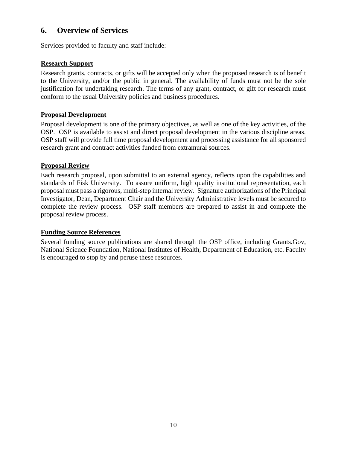## <span id="page-9-0"></span>**6. Overview of Services**

Services provided to faculty and staff include:

## <span id="page-9-1"></span>**Research Support**

Research grants, contracts, or gifts will be accepted only when the proposed research is of benefit to the University, and/or the public in general. The availability of funds must not be the sole justification for undertaking research. The terms of any grant, contract, or gift for research must conform to the usual University policies and business procedures.

## <span id="page-9-2"></span>**Proposal Development**

Proposal development is one of the primary objectives, as well as one of the key activities, of the OSP. OSP is available to assist and direct proposal development in the various discipline areas. OSP staff will provide full time proposal development and processing assistance for all sponsored research grant and contract activities funded from extramural sources.

## <span id="page-9-3"></span>**Proposal Review**

Each research proposal, upon submittal to an external agency, reflects upon the capabilities and standards of Fisk University. To assure uniform, high quality institutional representation, each proposal must pass a rigorous, multi-step internal review. Signature authorizations of the Principal Investigator, Dean, Department Chair and the University Administrative levels must be secured to complete the review process. OSP staff members are prepared to assist in and complete the proposal review process.

## <span id="page-9-4"></span>**Funding Source References**

Several funding source publications are shared through the OSP office, including Grants.Gov, National Science Foundation, National Institutes of Health, Department of Education, etc. Faculty is encouraged to stop by and peruse these resources.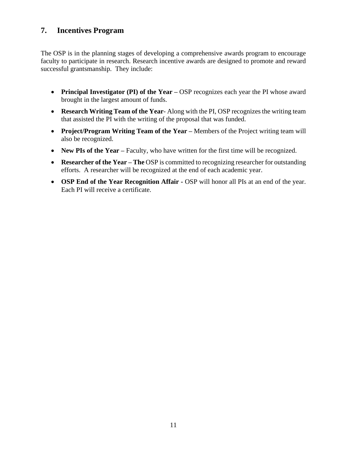## <span id="page-10-0"></span>**7. Incentives Program**

The OSP is in the planning stages of developing a comprehensive awards program to encourage faculty to participate in research. Research incentive awards are designed to promote and reward successful grantsmanship. They include:

- **Principal Investigator (PI) of the Year –** OSP recognizes each year the PI whose award brought in the largest amount of funds.
- **Research Writing Team of the Year** Along with the PI, OSP recognizes the writing team that assisted the PI with the writing of the proposal that was funded.
- **Project/Program Writing Team of the Year –** Members of the Project writing team will also be recognized.
- **New PIs of the Year** Faculty, who have written for the first time will be recognized.
- **Researcher of the Year The** OSP is committed to recognizing researcher for outstanding efforts. A researcher will be recognized at the end of each academic year.
- **OSP End of the Year Recognition Affair -** OSP will honor all PIs at an end of the year. Each PI will receive a certificate.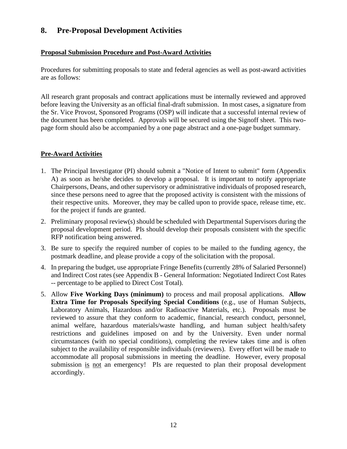## <span id="page-11-0"></span>**8. Pre-Proposal Development Activities**

## <span id="page-11-1"></span>**Proposal Submission Procedure and Post-Award Activities**

Procedures for submitting proposals to state and federal agencies as well as post-award activities are as follows:

All research grant proposals and contract applications must be internally reviewed and approved before leaving the University as an official final-draft submission. In most cases, a signature from the Sr. Vice Provost, Sponsored Programs (OSP) will indicate that a successful internal review of the document has been completed. Approvals will be secured using the Signoff sheet. This twopage form should also be accompanied by a one page abstract and a one-page budget summary.

### <span id="page-11-2"></span>**Pre-Award Activities**

- 1. The Principal Investigator (PI) should submit a "Notice of Intent to submit" form (Appendix A) as soon as he/she decides to develop a proposal. It is important to notify appropriate Chairpersons, Deans, and other supervisory or administrative individuals of proposed research, since these persons need to agree that the proposed activity is consistent with the missions of their respective units. Moreover, they may be called upon to provide space, release time, etc. for the project if funds are granted.
- 2. Preliminary proposal review(s) should be scheduled with Departmental Supervisors during the proposal development period. PIs should develop their proposals consistent with the specific RFP notification being answered.
- 3. Be sure to specify the required number of copies to be mailed to the funding agency, the postmark deadline, and please provide a copy of the solicitation with the proposal.
- 4. In preparing the budget, use appropriate Fringe Benefits (currently 28% of Salaried Personnel) and Indirect Cost rates (see Appendix B - General Information: Negotiated Indirect Cost Rates -- percentage to be applied to Direct Cost Total).
- 5. Allow **Five Working Days (minimum)** to process and mail proposal applications. **Allow Extra Time for Proposals Specifying Special Conditions** (e.g., use of Human Subjects, Laboratory Animals, Hazardous and/or Radioactive Materials, etc.). Proposals must be reviewed to assure that they conform to academic, financial, research conduct, personnel, animal welfare, hazardous materials/waste handling, and human subject health/safety restrictions and guidelines imposed on and by the University. Even under normal circumstances (with no special conditions), completing the review takes time and is often subject to the availability of responsible individuals (reviewers). Every effort will be made to accommodate all proposal submissions in meeting the deadline. However, every proposal submission is not an emergency! PIs are requested to plan their proposal development accordingly.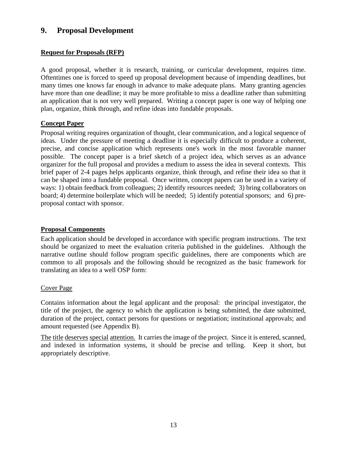## <span id="page-12-0"></span>**9. Proposal Development**

## <span id="page-12-1"></span>**Request for Proposals (RFP)**

A good proposal, whether it is research, training, or curricular development, requires time. Oftentimes one is forced to speed up proposal development because of impending deadlines, but many times one knows far enough in advance to make adequate plans. Many granting agencies have more than one deadline; it may be more profitable to miss a deadline rather than submitting an application that is not very well prepared. Writing a concept paper is one way of helping one plan, organize, think through, and refine ideas into fundable proposals.

### <span id="page-12-2"></span>**Concept Paper**

Proposal writing requires organization of thought, clear communication, and a logical sequence of ideas. Under the pressure of meeting a deadline it is especially difficult to produce a coherent, precise, and concise application which represents one's work in the most favorable manner possible. The concept paper is a brief sketch of a project idea, which serves as an advance organizer for the full proposal and provides a medium to assess the idea in several contexts. This brief paper of 2-4 pages helps applicants organize, think through, and refine their idea so that it can be shaped into a fundable proposal. Once written, concept papers can be used in a variety of ways: 1) obtain feedback from colleagues; 2) identify resources needed; 3) bring collaborators on board; 4) determine boilerplate which will be needed; 5) identify potential sponsors; and 6) preproposal contact with sponsor.

#### <span id="page-12-3"></span>**Proposal Components**

Each application should be developed in accordance with specific program instructions. The text should be organized to meet the evaluation criteria published in the guidelines. Although the narrative outline should follow program specific guidelines, there are components which are common to all proposals and the following should be recognized as the basic framework for translating an idea to a well OSP form:

#### <span id="page-12-4"></span>Cover Page

Contains information about the legal applicant and the proposal: the principal investigator, the title of the project, the agency to which the application is being submitted, the date submitted, duration of the project, contact persons for questions or negotiation; institutional approvals; and amount requested (see Appendix B).

The title deserves special attention. It carries the image of the project. Since it is entered, scanned, and indexed in information systems, it should be precise and telling. Keep it short, but appropriately descriptive.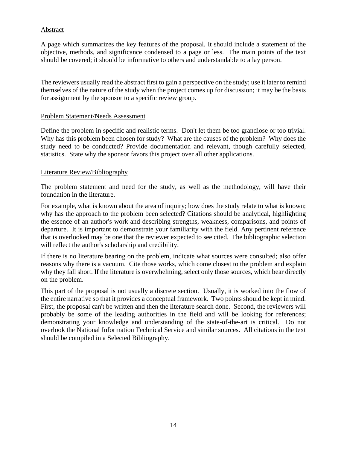## <span id="page-13-0"></span>Abstract

A page which summarizes the key features of the proposal. It should include a statement of the objective, methods, and significance condensed to a page or less. The main points of the text should be covered; it should be informative to others and understandable to a lay person.

The reviewers usually read the abstract first to gain a perspective on the study; use it later to remind themselves of the nature of the study when the project comes up for discussion; it may be the basis for assignment by the sponsor to a specific review group.

#### <span id="page-13-1"></span>Problem Statement/Needs Assessment

Define the problem in specific and realistic terms. Don't let them be too grandiose or too trivial. Why has this problem been chosen for study? What are the causes of the problem? Why does the study need to be conducted? Provide documentation and relevant, though carefully selected, statistics. State why the sponsor favors this project over all other applications.

#### <span id="page-13-2"></span>Literature Review/Bibliography

The problem statement and need for the study, as well as the methodology, will have their foundation in the literature.

For example, what is known about the area of inquiry; how does the study relate to what is known; why has the approach to the problem been selected? Citations should be analytical, highlighting the essence of an author's work and describing strengths, weakness, comparisons, and points of departure. It is important to demonstrate your familiarity with the field. Any pertinent reference that is overlooked may be one that the reviewer expected to see cited. The bibliographic selection will reflect the author's scholarship and credibility.

If there is no literature bearing on the problem, indicate what sources were consulted; also offer reasons why there is a vacuum. Cite those works, which come closest to the problem and explain why they fall short. If the literature is overwhelming, select only those sources, which bear directly on the problem.

This part of the proposal is not usually a discrete section. Usually, it is worked into the flow of the entire narrative so that it provides a conceptual framework. Two points should be kept in mind. First, the proposal can't be written and then the literature search done. Second, the reviewers will probably be some of the leading authorities in the field and will be looking for references; demonstrating your knowledge and understanding of the state-of-the-art is critical. Do not overlook the National Information Technical Service and similar sources. All citations in the text should be compiled in a Selected Bibliography.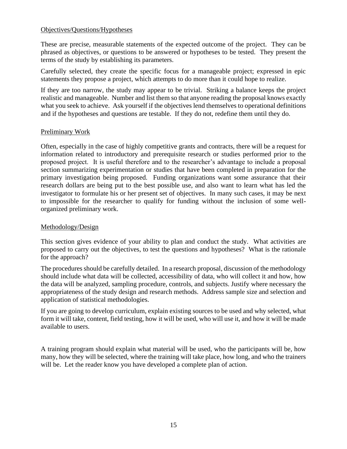### <span id="page-14-0"></span>Objectives/Questions/Hypotheses

These are precise, measurable statements of the expected outcome of the project. They can be phrased as objectives, or questions to be answered or hypotheses to be tested. They present the terms of the study by establishing its parameters.

Carefully selected, they create the specific focus for a manageable project; expressed in epic statements they propose a project, which attempts to do more than it could hope to realize.

If they are too narrow, the study may appear to be trivial. Striking a balance keeps the project realistic and manageable. Number and list them so that anyone reading the proposal knows exactly what you seek to achieve. Ask yourself if the objectives lend themselves to operational definitions and if the hypotheses and questions are testable. If they do not, redefine them until they do.

### <span id="page-14-1"></span>Preliminary Work

Often, especially in the case of highly competitive grants and contracts, there will be a request for information related to introductory and prerequisite research or studies performed prior to the proposed project. It is useful therefore and to the researcher's advantage to include a proposal section summarizing experimentation or studies that have been completed in preparation for the primary investigation being proposed. Funding organizations want some assurance that their research dollars are being put to the best possible use, and also want to learn what has led the investigator to formulate his or her present set of objectives. In many such cases, it may be next to impossible for the researcher to qualify for funding without the inclusion of some wellorganized preliminary work.

## <span id="page-14-2"></span>Methodology/Design

This section gives evidence of your ability to plan and conduct the study. What activities are proposed to carry out the objectives, to test the questions and hypotheses? What is the rationale for the approach?

The procedures should be carefully detailed. In a research proposal, discussion of the methodology should include what data will be collected, accessibility of data, who will collect it and how, how the data will be analyzed, sampling procedure, controls, and subjects. Justify where necessary the appropriateness of the study design and research methods. Address sample size and selection and application of statistical methodologies.

If you are going to develop curriculum, explain existing sources to be used and why selected, what form it will take, content, field testing, how it will be used, who will use it, and how it will be made available to users.

A training program should explain what material will be used, who the participants will be, how many, how they will be selected, where the training will take place, how long, and who the trainers will be. Let the reader know you have developed a complete plan of action.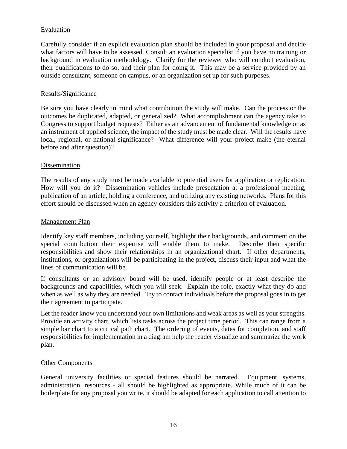## <span id="page-15-0"></span>Evaluation

Carefully consider if an explicit evaluation plan should be included in your proposal and decide what factors will have to be assessed. Consult an evaluation specialist if you have no training or background in evaluation methodology. Clarify for the reviewer who will conduct evaluation, their qualifications to do so, and their plan for doing it. This may be a service provided by an outside consultant, someone on campus, or an organization set up for such purposes.

### <span id="page-15-1"></span>Results/Significance

Be sure you have clearly in mind what contribution the study will make. Can the process or the outcomes be duplicated, adapted, or generalized? What accomplishment can the agency take to Congress to support budget requests? Either as an advancement of fundamental knowledge or as an instrument of applied science, the impact of the study must be made clear. Will the results have local, regional, or national significance? What difference will your project make (the eternal before and after question)?

#### <span id="page-15-2"></span>Dissemination

The results of any study must be made available to potential users for application or replication. How will you do it? Dissemination vehicles include presentation at a professional meeting, publication of an article, holding a conference, and utilizing any existing networks. Plans for this effort should be discussed when an agency considers this activity a criterion of evaluation.

#### <span id="page-15-3"></span>Management Plan

Identify key staff members, including yourself, highlight their backgrounds, and comment on the special contribution their expertise will enable them to make. Describe their specific responsibilities and show their relationships in an organizational chart. If other departments, institutions, or organizations will be participating in the project, discuss their input and what the lines of communication will be.

If consultants or an advisory board will be used, identify people or at least describe the backgrounds and capabilities, which you will seek. Explain the role, exactly what they do and when as well as why they are needed. Try to contact individuals before the proposal goes in to get their agreement to participate.

Let the reader know you understand your own limitations and weak areas as well as your strengths. Provide an activity chart, which lists tasks across the project time period. This can range from a simple bar chart to a critical path chart. The ordering of events, dates for completion, and staff responsibilities for implementation in a diagram help the reader visualize and summarize the work plan.

#### <span id="page-15-4"></span>Other Components

General university facilities or special features should be narrated. Equipment, systems, administration, resources - all should be highlighted as appropriate. While much of it can be boilerplate for any proposal you write, it should be adapted for each application to call attention to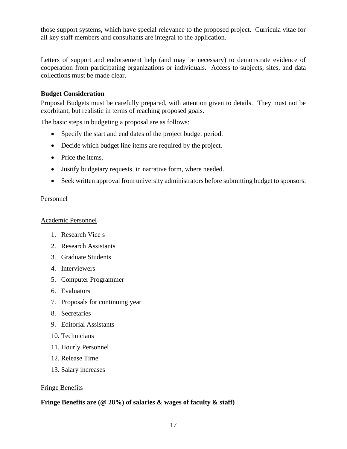those support systems, which have special relevance to the proposed project. Curricula vitae for all key staff members and consultants are integral to the application.

Letters of support and endorsement help (and may be necessary) to demonstrate evidence of cooperation from participating organizations or individuals. Access to subjects, sites, and data collections must be made clear.

## <span id="page-16-0"></span>**Budget Consideration**

Proposal Budgets must be carefully prepared, with attention given to details. They must not be exorbitant, but realistic in terms of reaching proposed goals.

The basic steps in budgeting a proposal are as follows:

- Specify the start and end dates of the project budget period.
- Decide which budget line items are required by the project.
- Price the items.
- Justify budgetary requests, in narrative form, where needed.
- Seek written approval from university administrators before submitting budget to sponsors.

### <span id="page-16-1"></span>Personnel

## <span id="page-16-2"></span>Academic Personnel

- 1. Research Vice s
- 2. Research Assistants
- 3. Graduate Students
- 4. Interviewers
- 5. Computer Programmer
- 6. Evaluators
- 7. Proposals for continuing year
- 8. Secretaries
- 9. Editorial Assistants
- 10. Technicians
- 11. Hourly Personnel
- 12. Release Time
- 13. Salary increases

## <span id="page-16-3"></span>Fringe Benefits

## **Fringe Benefits are (@ 28%) of salaries & wages of faculty & staff)**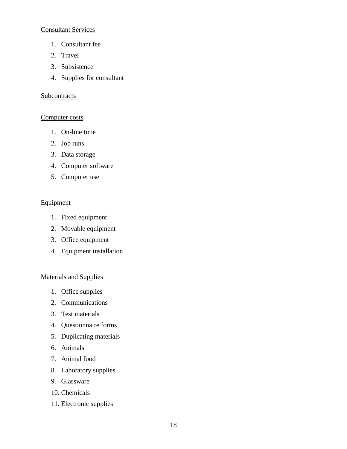## <span id="page-17-0"></span>Consultant Services

- 1. Consultant fee
- 2. Travel
- 3. Subsistence
- 4. Supplies for consultant

#### <span id="page-17-1"></span>**Subcontracts**

#### <span id="page-17-2"></span>Computer costs

- 1. On-line time
- 2. Job runs
- 3. Data storage
- 4. Computer software
- 5. Computer use

### <span id="page-17-3"></span>Equipment

- 1. Fixed equipment
- 2. Movable equipment
- 3. Office equipment
- 4. Equipment installation

#### <span id="page-17-4"></span>Materials and Supplies

- 1. Office supplies
- 2. Communications
- 3. Test materials
- 4. Questionnaire forms
- 5. Duplicating materials
- 6. Animals
- 7. Animal food
- 8. Laboratory supplies
- 9. Glassware
- 10. Chemicals
- 11. Electronic supplies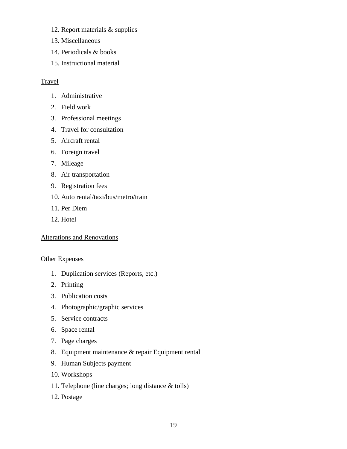- 12. Report materials & supplies
- 13. Miscellaneous
- 14. Periodicals & books
- 15. Instructional material

### <span id="page-18-0"></span>Travel

- 1. Administrative
- 2. Field work
- 3. Professional meetings
- 4. Travel for consultation
- 5. Aircraft rental
- 6. Foreign travel
- 7. Mileage
- 8. Air transportation
- 9. Registration fees
- 10. Auto rental/taxi/bus/metro/train
- 11. Per Diem
- 12. Hotel

#### <span id="page-18-1"></span>Alterations and Renovations

#### <span id="page-18-2"></span>Other Expenses

- 1. Duplication services (Reports, etc.)
- 2. Printing
- 3. Publication costs
- 4. Photographic/graphic services
- 5. Service contracts
- 6. Space rental
- 7. Page charges
- 8. Equipment maintenance & repair Equipment rental
- 9. Human Subjects payment
- 10. Workshops
- 11. Telephone (line charges; long distance & tolls)
- 12. Postage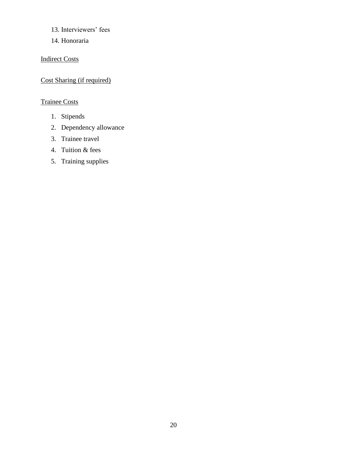- 13. Interviewers' fees
- 14. Honoraria

## <span id="page-19-0"></span>Indirect Costs

## <span id="page-19-1"></span>Cost Sharing (if required)

## <span id="page-19-2"></span>Trainee Costs

- 1. Stipends
- 2. Dependency allowance
- 3. Trainee travel
- 4. Tuition & fees
- 5. Training supplies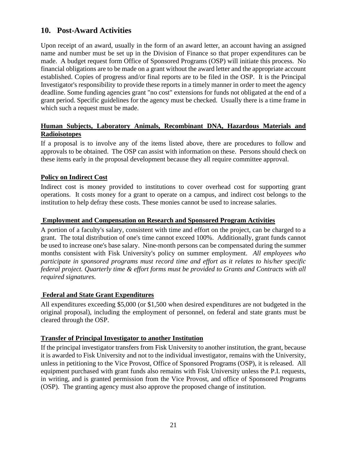## <span id="page-20-0"></span>**10. Post-Award Activities**

Upon receipt of an award, usually in the form of an award letter, an account having an assigned name and number must be set up in the Division of Finance so that proper expenditures can be made. A budget request form Office of Sponsored Programs (OSP) will initiate this process. No financial obligations are to be made on a grant without the award letter and the appropriate account established. Copies of progress and/or final reports are to be filed in the OSP. It is the Principal Investigator's responsibility to provide these reports in a timely manner in order to meet the agency deadline. Some funding agencies grant "no cost" extensions for funds not obligated at the end of a grant period. Specific guidelines for the agency must be checked. Usually there is a time frame in which such a request must be made.

## <span id="page-20-1"></span>**Human Subjects, Laboratory Animals, Recombinant DNA, Hazardous Materials and Radioisotopes**

If a proposal is to involve any of the items listed above, there are procedures to follow and approvals to be obtained. The OSP can assist with information on these. Persons should check on these items early in the proposal development because they all require committee approval.

## <span id="page-20-2"></span>**Policy on Indirect Cost**

Indirect cost is money provided to institutions to cover overhead cost for supporting grant operations. It costs money for a grant to operate on a campus, and indirect cost belongs to the institution to help defray these costs. These monies cannot be used to increase salaries.

#### <span id="page-20-3"></span>**Employment and Compensation on Research and Sponsored Program Activities**

A portion of a faculty's salary, consistent with time and effort on the project, can be charged to a grant. The total distribution of one's time cannot exceed 100%. Additionally, grant funds cannot be used to increase one's base salary. Nine-month persons can be compensated during the summer months consistent with Fisk University's policy on summer employment. *All employees who participate in sponsored programs must record time and effort as it relates to his/her specific federal project. Quarterly time & effort forms must be provided to Grants and Contracts with all required signatures.*

#### <span id="page-20-4"></span>**Federal and State Grant Expenditures**

All expenditures exceeding \$5,000 (or \$1,500 when desired expenditures are not budgeted in the original proposal), including the employment of personnel, on federal and state grants must be cleared through the OSP.

## <span id="page-20-5"></span>**Transfer of Principal Investigator to another Institution**

If the principal investigator transfers from Fisk University to another institution, the grant, because it is awarded to Fisk University and not to the individual investigator, remains with the University, unless in petitioning to the Vice Provost, Office of Sponsored Programs (OSP), it is released. All equipment purchased with grant funds also remains with Fisk University unless the P.I. requests, in writing, and is granted permission from the Vice Provost, and office of Sponsored Programs (OSP). The granting agency must also approve the proposed change of institution.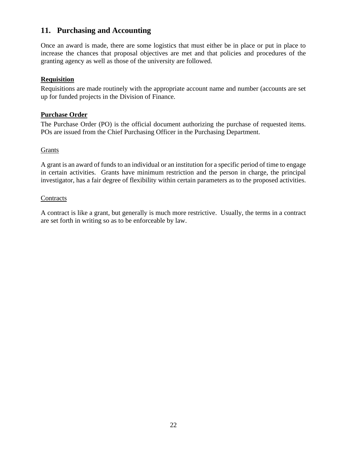## <span id="page-21-0"></span>**11. Purchasing and Accounting**

Once an award is made, there are some logistics that must either be in place or put in place to increase the chances that proposal objectives are met and that policies and procedures of the granting agency as well as those of the university are followed.

### <span id="page-21-1"></span>**Requisition**

Requisitions are made routinely with the appropriate account name and number (accounts are set up for funded projects in the Division of Finance.

#### <span id="page-21-2"></span>**Purchase Order**

The Purchase Order (PO) is the official document authorizing the purchase of requested items. POs are issued from the Chief Purchasing Officer in the Purchasing Department.

#### <span id="page-21-3"></span>Grants

A grant is an award of funds to an individual or an institution for a specific period of time to engage in certain activities. Grants have minimum restriction and the person in charge, the principal investigator, has a fair degree of flexibility within certain parameters as to the proposed activities.

#### <span id="page-21-4"></span>**Contracts**

A contract is like a grant, but generally is much more restrictive. Usually, the terms in a contract are set forth in writing so as to be enforceable by law.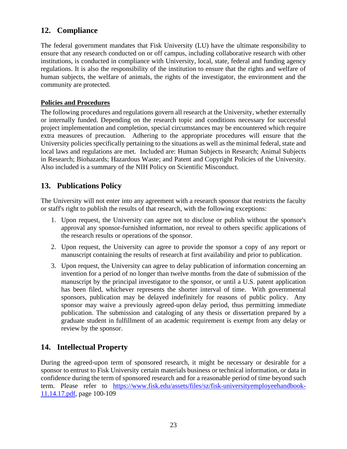## <span id="page-22-0"></span>**12. Compliance**

The federal government mandates that Fisk University (LU) have the ultimate responsibility to ensure that any research conducted on or off campus, including collaborative research with other institutions, is conducted in compliance with University, local, state, federal and funding agency regulations. It is also the responsibility of the institution to ensure that the rights and welfare of human subjects, the welfare of animals, the rights of the investigator, the environment and the community are protected.

## <span id="page-22-1"></span>**Policies and Procedures**

The following procedures and regulations govern all research at the University, whether externally or internally funded. Depending on the research topic and conditions necessary for successful project implementation and completion, special circumstances may be encountered which require extra measures of precaution. Adhering to the appropriate procedures will ensure that the University policies specifically pertaining to the situations as well as the minimal federal, state and local laws and regulations are met. Included are: Human Subjects in Research; Animal Subjects in Research; Biohazards; Hazardous Waste; and Patent and Copyright Policies of the University. Also included is a summary of the NIH Policy on Scientific Misconduct.

## <span id="page-22-2"></span>**13. Publications Policy**

The University will not enter into any agreement with a research sponsor that restricts the faculty or staff's right to publish the results of that research, with the following exceptions:

- 1. Upon request, the University can agree not to disclose or publish without the sponsor's approval any sponsor-furnished information, nor reveal to others specific applications of the research results or operations of the sponsor.
- 2. Upon request, the University can agree to provide the sponsor a copy of any report or manuscript containing the results of research at first availability and prior to publication.
- 3. Upon request, the University can agree to delay publication of information concerning an invention for a period of no longer than twelve months from the date of submission of the manuscript by the principal investigator to the sponsor, or until a U.S. patent application has been filed, whichever represents the shorter interval of time. With governmental sponsors, publication may be delayed indefinitely for reasons of public policy. Any sponsor may waive a previously agreed-upon delay period, thus permitting immediate publication. The submission and cataloging of any thesis or dissertation prepared by a graduate student in fulfillment of an academic requirement is exempt from any delay or review by the sponsor.

## <span id="page-22-3"></span>**14. Intellectual Property**

During the agreed-upon term of sponsored research, it might be necessary or desirable for a sponsor to entrust to Fisk University certain materials business or technical information, or data in confidence during the term of sponsored research and for a reasonable period of time beyond such term. Please refer to [https://www.fisk.edu/assets/files/sz/fisk-universityemployeehandbook-](https://www.fisk.edu/assets/files/sz/fisk-universityemployeehandbook-11.14.17.pdf)[11.14.17.pdf,](https://www.fisk.edu/assets/files/sz/fisk-universityemployeehandbook-11.14.17.pdf) page 100-109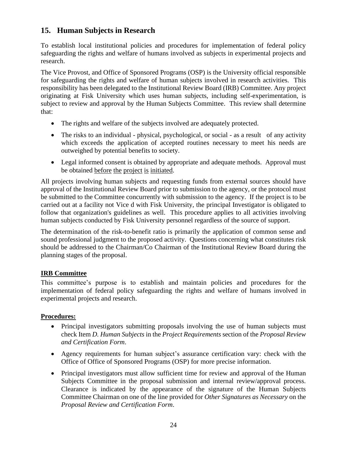## <span id="page-23-0"></span>**15. Human Subjects in Research**

To establish local institutional policies and procedures for implementation of federal policy safeguarding the rights and welfare of humans involved as subjects in experimental projects and research.

The Vice Provost, and Office of Sponsored Programs (OSP) is the University official responsible for safeguarding the rights and welfare of human subjects involved in research activities. This responsibility has been delegated to the Institutional Review Board (IRB) Committee. Any project originating at Fisk University which uses human subjects, including self-experimentation, is subject to review and approval by the Human Subjects Committee. This review shall determine that:

- The rights and welfare of the subjects involved are adequately protected.
- The risks to an individual physical, psychological, or social as a result of any activity which exceeds the application of accepted routines necessary to meet his needs are outweighed by potential benefits to society.
- Legal informed consent is obtained by appropriate and adequate methods. Approval must be obtained before the project is initiated.

All projects involving human subjects and requesting funds from external sources should have approval of the Institutional Review Board prior to submission to the agency, or the protocol must be submitted to the Committee concurrently with submission to the agency. If the project is to be carried out at a facility not Vice d with Fisk University, the principal Investigator is obligated to follow that organization's guidelines as well. This procedure applies to all activities involving human subjects conducted by Fisk University personnel regardless of the source of support.

The determination of the risk-to-benefit ratio is primarily the application of common sense and sound professional judgment to the proposed activity. Questions concerning what constitutes risk should be addressed to the Chairman/Co Chairman of the Institutional Review Board during the planning stages of the proposal.

## <span id="page-23-1"></span>**IRB Committee**

This committee's purpose is to establish and maintain policies and procedures for the implementation of federal policy safeguarding the rights and welfare of humans involved in experimental projects and research.

## <span id="page-23-2"></span>**Procedures:**

- Principal investigators submitting proposals involving the use of human subjects must check Item *D. Human Subjects* in the *Project Requirements* section of the *Proposal Review and Certification Form*.
- Agency requirements for human subject's assurance certification vary: check with the Office of Office of Sponsored Programs (OSP) for more precise information.
- Principal investigators must allow sufficient time for review and approval of the Human Subjects Committee in the proposal submission and internal review/approval process. Clearance is indicated by the appearance of the signature of the Human Subjects Committee Chairman on one of the line provided for *Other Signatures as Necessary* on the *Proposal Review and Certification Form*.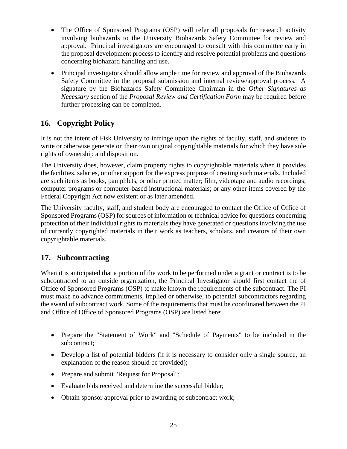- The Office of Sponsored Programs (OSP) will refer all proposals for research activity involving biohazards to the University Biohazards Safety Committee for review and approval. Principal investigators are encouraged to consult with this committee early in the proposal development process to identify and resolve potential problems and questions concerning biohazard handling and use.
- Principal investigators should allow ample time for review and approval of the Biohazards Safety Committee in the proposal submission and internal review/approval process. A signature by the Biohazards Safety Committee Chairman in the *Other Signatures as Necessary* section of the *Proposal Review and Certification Form* may be required before further processing can be completed.

## <span id="page-24-0"></span>**16. Copyright Policy**

It is not the intent of Fisk University to infringe upon the rights of faculty, staff, and students to write or otherwise generate on their own original copyrightable materials for which they have sole rights of ownership and disposition.

The University does, however, claim property rights to copyrightable materials when it provides the facilities, salaries, or other support for the express purpose of creating such materials. Included are such items as books, pamphlets, or other printed matter; film, videotape and audio recordings; computer programs or computer-based instructional materials; or any other items covered by the Federal Copyright Act now existent or as later amended.

The University faculty, staff, and student body are encouraged to contact the Office of Office of Sponsored Programs (OSP) for sources of information or technical advice for questions concerning protection of their individual rights to materials they have generated or questions involving the use of currently copyrighted materials in their work as teachers, scholars, and creators of their own copyrightable materials.

## <span id="page-24-1"></span>**17. Subcontracting**

When it is anticipated that a portion of the work to be performed under a grant or contract is to be subcontracted to an outside organization, the Principal Investigator should first contact the of Office of Sponsored Programs (OSP) to make known the requirements of the subcontract. The PI must make no advance commitments, implied or otherwise, to potential subcontractors regarding the award of subcontract work. Some of the requirements that must be coordinated between the PI and Office of Office of Sponsored Programs (OSP) are listed here:

- Prepare the "Statement of Work" and "Schedule of Payments" to be included in the subcontract;
- Develop a list of potential bidders (if it is necessary to consider only a single source, an explanation of the reason should be provided);
- Prepare and submit "Request for Proposal";
- Evaluate bids received and determine the successful bidder;
- Obtain sponsor approval prior to awarding of subcontract work;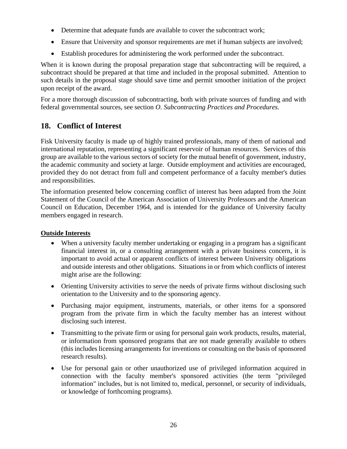- Determine that adequate funds are available to cover the subcontract work;
- Ensure that University and sponsor requirements are met if human subjects are involved;
- Establish procedures for administering the work performed under the subcontract.

When it is known during the proposal preparation stage that subcontracting will be required, a subcontract should be prepared at that time and included in the proposal submitted. Attention to such details in the proposal stage should save time and permit smoother initiation of the project upon receipt of the award.

For a more thorough discussion of subcontracting, both with private sources of funding and with federal governmental sources, see section *O. Subcontracting Practices and Procedures.*

## <span id="page-25-0"></span>**18. Conflict of Interest**

Fisk University faculty is made up of highly trained professionals, many of them of national and international reputation, representing a significant reservoir of human resources. Services of this group are available to the various sectors of society for the mutual benefit of government, industry, the academic community and society at large. Outside employment and activities are encouraged, provided they do not detract from full and competent performance of a faculty member's duties and responsibilities.

The information presented below concerning conflict of interest has been adapted from the Joint Statement of the Council of the American Association of University Professors and the American Council on Education, December 1964, and is intended for the guidance of University faculty members engaged in research.

## <span id="page-25-1"></span>**Outside Interests**

- When a university faculty member undertaking or engaging in a program has a significant financial interest in, or a consulting arrangement with a private business concern, it is important to avoid actual or apparent conflicts of interest between University obligations and outside interests and other obligations. Situations in or from which conflicts of interest might arise are the following:
- Orienting University activities to serve the needs of private firms without disclosing such orientation to the University and to the sponsoring agency.
- Purchasing major equipment, instruments, materials, or other items for a sponsored program from the private firm in which the faculty member has an interest without disclosing such interest.
- Transmitting to the private firm or using for personal gain work products, results, material, or information from sponsored programs that are not made generally available to others (this includes licensing arrangements for inventions or consulting on the basis of sponsored research results).
- Use for personal gain or other unauthorized use of privileged information acquired in connection with the faculty member's sponsored activities (the term "privileged information" includes, but is not limited to, medical, personnel, or security of individuals, or knowledge of forthcoming programs).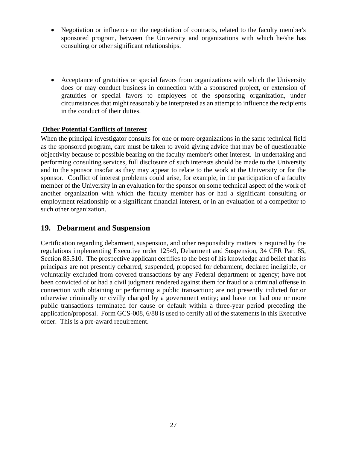- Negotiation or influence on the negotiation of contracts, related to the faculty member's sponsored program, between the University and organizations with which he/she has consulting or other significant relationships.
- Acceptance of gratuities or special favors from organizations with which the University does or may conduct business in connection with a sponsored project, or extension of gratuities or special favors to employees of the sponsoring organization, under circumstances that might reasonably be interpreted as an attempt to influence the recipients in the conduct of their duties.

## <span id="page-26-0"></span>**Other Potential Conflicts of Interest**

When the principal investigator consults for one or more organizations in the same technical field as the sponsored program, care must be taken to avoid giving advice that may be of questionable objectivity because of possible bearing on the faculty member's other interest. In undertaking and performing consulting services, full disclosure of such interests should be made to the University and to the sponsor insofar as they may appear to relate to the work at the University or for the sponsor. Conflict of interest problems could arise, for example, in the participation of a faculty member of the University in an evaluation for the sponsor on some technical aspect of the work of another organization with which the faculty member has or had a significant consulting or employment relationship or a significant financial interest, or in an evaluation of a competitor to such other organization.

## <span id="page-26-1"></span>**19. Debarment and Suspension**

Certification regarding debarment, suspension, and other responsibility matters is required by the regulations implementing Executive order 12549, Debarment and Suspension, 34 CFR Part 85, Section 85.510. The prospective applicant certifies to the best of his knowledge and belief that its principals are not presently debarred, suspended, proposed for debarment, declared ineligible, or voluntarily excluded from covered transactions by any Federal department or agency; have not been convicted of or had a civil judgment rendered against them for fraud or a criminal offense in connection with obtaining or performing a public transaction; are not presently indicted for or otherwise criminally or civilly charged by a government entity; and have not had one or more public transactions terminated for cause or default within a three-year period preceding the application/proposal. Form GCS-008, 6/88 is used to certify all of the statements in this Executive order. This is a pre-award requirement.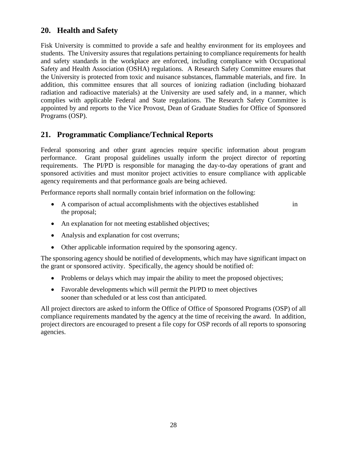## <span id="page-27-0"></span>**20. Health and Safety**

Fisk University is committed to provide a safe and healthy environment for its employees and students. The University assures that regulations pertaining to compliance requirements for health and safety standards in the workplace are enforced, including compliance with Occupational Safety and Health Association (OSHA) regulations. A Research Safety Committee ensures that the University is protected from toxic and nuisance substances, flammable materials, and fire. In addition, this committee ensures that all sources of ionizing radiation (including biohazard radiation and radioactive materials) at the University are used safely and, in a manner, which complies with applicable Federal and State regulations. The Research Safety Committee is appointed by and reports to the Vice Provost, Dean of Graduate Studies for Office of Sponsored Programs (OSP).

## <span id="page-27-1"></span>**21. Programmatic Compliance/Technical Reports**

Federal sponsoring and other grant agencies require specific information about program performance. Grant proposal guidelines usually inform the project director of reporting requirements. The PI/PD is responsible for managing the day-to-day operations of grant and sponsored activities and must monitor project activities to ensure compliance with applicable agency requirements and that performance goals are being achieved.

Performance reports shall normally contain brief information on the following:

- A comparison of actual accomplishments with the objectives established in the proposal;
- An explanation for not meeting established objectives;
- Analysis and explanation for cost overruns;
- Other applicable information required by the sponsoring agency.

The sponsoring agency should be notified of developments, which may have significant impact on the grant or sponsored activity. Specifically, the agency should be notified of:

- Problems or delays which may impair the ability to meet the proposed objectives;
- Favorable developments which will permit the PI/PD to meet objectives sooner than scheduled or at less cost than anticipated.

All project directors are asked to inform the Office of Office of Sponsored Programs (OSP) of all compliance requirements mandated by the agency at the time of receiving the award. In addition, project directors are encouraged to present a file copy for OSP records of all reports to sponsoring agencies.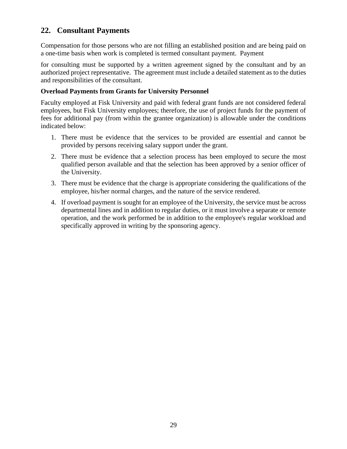## <span id="page-28-0"></span>**22. Consultant Payments**

Compensation for those persons who are not filling an established position and are being paid on a one-time basis when work is completed is termed consultant payment. Payment

for consulting must be supported by a written agreement signed by the consultant and by an authorized project representative. The agreement must include a detailed statement as to the duties and responsibilities of the consultant.

## **Overload Payments from Grants for University Personnel**

Faculty employed at Fisk University and paid with federal grant funds are not considered federal employees, but Fisk University employees; therefore, the use of project funds for the payment of fees for additional pay (from within the grantee organization) is allowable under the conditions indicated below:

- 1. There must be evidence that the services to be provided are essential and cannot be provided by persons receiving salary support under the grant.
- 2. There must be evidence that a selection process has been employed to secure the most qualified person available and that the selection has been approved by a senior officer of the University.
- 3. There must be evidence that the charge is appropriate considering the qualifications of the employee, his/her normal charges, and the nature of the service rendered.
- 4. If overload payment is sought for an employee of the University, the service must be across departmental lines and in addition to regular duties, or it must involve a separate or remote operation, and the work performed be in addition to the employee's regular workload and specifically approved in writing by the sponsoring agency.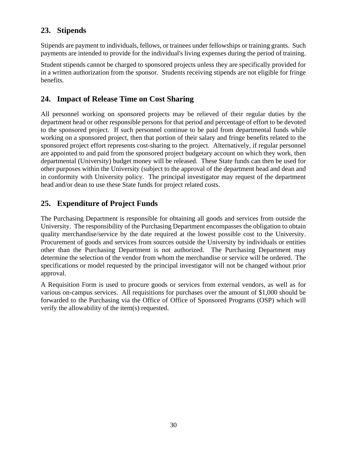## <span id="page-29-0"></span>**23. Stipends**

Stipends are payment to individuals, fellows, or trainees under fellowships or training grants. Such payments are intended to provide for the individual's living expenses during the period of training.

Student stipends cannot be charged to sponsored projects unless they are specifically provided for in a written authorization from the sponsor. Students receiving stipends are not eligible for fringe benefits.

## <span id="page-29-1"></span>**24. Impact of Release Time on Cost Sharing**

All personnel working on sponsored projects may be relieved of their regular duties by the department head or other responsible persons for that period and percentage of effort to be devoted to the sponsored project. If such personnel continue to be paid from departmental funds while working on a sponsored project, then that portion of their salary and fringe benefits related to the sponsored project effort represents cost-sharing to the project. Alternatively, if regular personnel are appointed to and paid from the sponsored project budgetary account on which they work, then departmental (University) budget money will be released. These State funds can then be used for other purposes within the University (subject to the approval of the department head and dean and in conformity with University policy. The principal investigator may request of the department head and/or dean to use these State funds for project related costs.

## <span id="page-29-2"></span>**25. Expenditure of Project Funds**

The Purchasing Department is responsible for obtaining all goods and services from outside the University. The responsibility of the Purchasing Department encompasses the obligation to obtain quality merchandise/service by the date required at the lowest possible cost to the University. Procurement of goods and services from sources outside the University by individuals or entities other than the Purchasing Department is not authorized. The Purchasing Department may determine the selection of the vendor from whom the merchandise or service will be ordered. The specifications or model requested by the principal investigator will not be changed without prior approval.

A Requisition Form is used to procure goods or services from external vendors, as well as for various on-campus services. All requisitions for purchases over the amount of \$1,000 should be forwarded to the Purchasing via the Office of Office of Sponsored Programs (OSP) which will verify the allowability of the item(s) requested.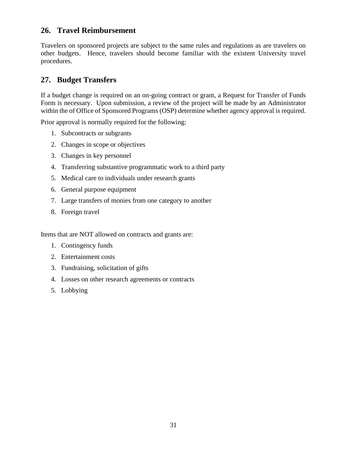## <span id="page-30-0"></span>**26. Travel Reimbursement**

Travelers on sponsored projects are subject to the same rules and regulations as are travelers on other budgets. Hence, travelers should become familiar with the existent University travel procedures.

## <span id="page-30-1"></span>**27. Budget Transfers**

If a budget change is required on an on-going contract or grant, a Request for Transfer of Funds Form is necessary. Upon submission, a review of the project will be made by an Administrator within the of Office of Sponsored Programs (OSP) determine whether agency approval is required.

Prior approval is normally required for the following:

- 1. Subcontracts or subgrants
- 2. Changes in scope or objectives
- 3. Changes in key personnel
- 4. Transferring substantive programmatic work to a third party
- 5. Medical care to individuals under research grants
- 6. General purpose equipment
- 7. Large transfers of monies from one category to another
- 8. Foreign travel

Items that are NOT allowed on contracts and grants are:

- 1. Contingency funds
- 2. Entertainment costs
- 3. Fundraising, solicitation of gifts
- 4. Losses on other research agreements or contracts
- 5. Lobbying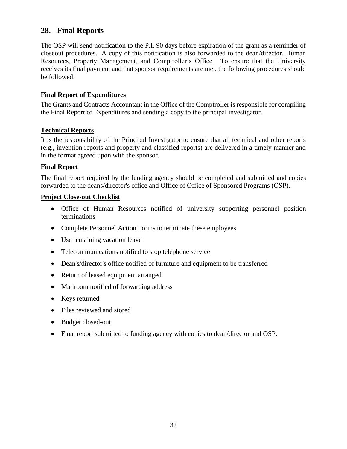## <span id="page-31-0"></span>**28. Final Reports**

The OSP will send notification to the P.I. 90 days before expiration of the grant as a reminder of closeout procedures. A copy of this notification is also forwarded to the dean/director, Human Resources, Property Management, and Comptroller's Office. To ensure that the University receives its final payment and that sponsor requirements are met, the following procedures should be followed:

## <span id="page-31-1"></span>**Final Report of Expenditures**

The Grants and Contracts Accountant in the Office of the Comptroller is responsible for compiling the Final Report of Expenditures and sending a copy to the principal investigator.

### <span id="page-31-2"></span>**Technical Reports**

It is the responsibility of the Principal Investigator to ensure that all technical and other reports (e.g., invention reports and property and classified reports) are delivered in a timely manner and in the format agreed upon with the sponsor.

### **Final Report**

The final report required by the funding agency should be completed and submitted and copies forwarded to the deans/director's office and Office of Office of Sponsored Programs (OSP).

#### **Project Close-out Checklist**

- Office of Human Resources notified of university supporting personnel position terminations
- Complete Personnel Action Forms to terminate these employees
- Use remaining vacation leave
- Telecommunications notified to stop telephone service
- Dean's/director's office notified of furniture and equipment to be transferred
- Return of leased equipment arranged
- Mailroom notified of forwarding address
- Keys returned
- Files reviewed and stored
- Budget closed-out
- Final report submitted to funding agency with copies to dean/director and OSP.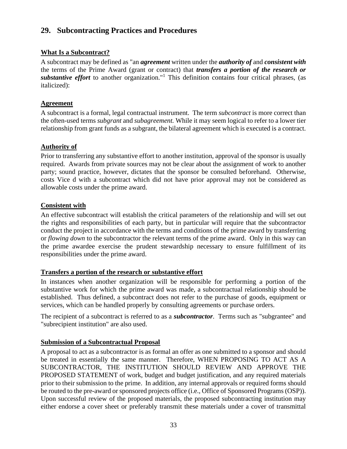## <span id="page-32-0"></span>**29. Subcontracting Practices and Procedures**

## <span id="page-32-1"></span>**What Is a Subcontract?**

A subcontract may be defined as "an *agreement* written under the *authority of* and *consistent with* the terms of the Prime Award (grant or contract) that *transfers a portion of the research or substantive effort* to another organization."<sup>1</sup> This definition contains four critical phrases, (as italicized):

## <span id="page-32-2"></span>**Agreement**

A subcontract is a formal, legal contractual instrument. The term *subcontract* is more correct than the often-used terms *subgrant* and *subagreement.* While it may seem logical to refer to a lower tier relationship from grant funds as a subgrant, the bilateral agreement which is executed is a contract.

## <span id="page-32-3"></span>**Authority of**

Prior to transferring any substantive effort to another institution, approval of the sponsor is usually required. Awards from private sources may not be clear about the assignment of work to another party; sound practice, however, dictates that the sponsor be consulted beforehand. Otherwise, costs Vice d with a subcontract which did not have prior approval may not be considered as allowable costs under the prime award.

## <span id="page-32-4"></span>**Consistent with**

An effective subcontract will establish the critical parameters of the relationship and will set out the rights and responsibilities of each party, but in particular will require that the subcontractor conduct the project in accordance with the terms and conditions of the prime award by transferring or *flowing down* to the subcontractor the relevant terms of the prime award. Only in this way can the prime awardee exercise the prudent stewardship necessary to ensure fulfillment of its responsibilities under the prime award.

## <span id="page-32-5"></span>**Transfers a portion of the research or substantive effort**

In instances when another organization will be responsible for performing a portion of the substantive work for which the prime award was made, a subcontractual relationship should be established. Thus defined, a subcontract does not refer to the purchase of goods, equipment or services, which can be handled properly by consulting agreements or purchase orders.

The recipient of a subcontract is referred to as a *subcontractor*. Terms such as "subgrantee" and "subrecipient institution" are also used.

## <span id="page-32-6"></span>**Submission of a Subcontractual Proposal**

A proposal to act as a subcontractor is as formal an offer as one submitted to a sponsor and should be treated in essentially the same manner. Therefore, WHEN PROPOSING TO ACT AS A SUBCONTRACTOR, THE INSTITUTION SHOULD REVIEW AND APPROVE THE PROPOSED STATEMENT of work, budget and budget justification, and any required materials prior to their submission to the prime. In addition, any internal approvals or required forms should be routed to the pre-award or sponsored projects office (i.e., Office of Sponsored Programs (OSP)). Upon successful review of the proposed materials, the proposed subcontracting institution may either endorse a cover sheet or preferably transmit these materials under a cover of transmittal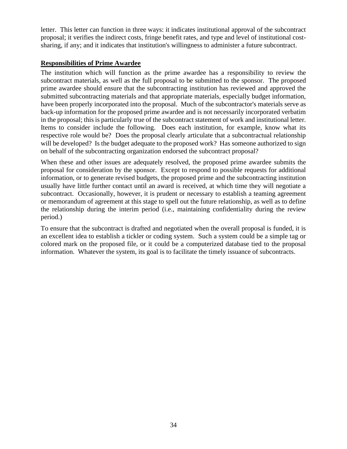letter. This letter can function in three ways: it indicates institutional approval of the subcontract proposal; it verifies the indirect costs, fringe benefit rates, and type and level of institutional costsharing, if any; and it indicates that institution's willingness to administer a future subcontract.

## <span id="page-33-0"></span>**Responsibilities of Prime Awardee**

The institution which will function as the prime awardee has a responsibility to review the subcontract materials, as well as the full proposal to be submitted to the sponsor. The proposed prime awardee should ensure that the subcontracting institution has reviewed and approved the submitted subcontracting materials and that appropriate materials, especially budget information, have been properly incorporated into the proposal. Much of the subcontractor's materials serve as back-up information for the proposed prime awardee and is not necessarily incorporated verbatim in the proposal; this is particularly true of the subcontract statement of work and institutional letter. Items to consider include the following. Does each institution, for example, know what its respective role would be? Does the proposal clearly articulate that a subcontractual relationship will be developed? Is the budget adequate to the proposed work? Has someone authorized to sign on behalf of the subcontracting organization endorsed the subcontract proposal?

When these and other issues are adequately resolved, the proposed prime awardee submits the proposal for consideration by the sponsor. Except to respond to possible requests for additional information, or to generate revised budgets, the proposed prime and the subcontracting institution usually have little further contact until an award is received, at which time they will negotiate a subcontract. Occasionally, however, it is prudent or necessary to establish a teaming agreement or memorandum of agreement at this stage to spell out the future relationship, as well as to define the relationship during the interim period (i.e., maintaining confidentiality during the review period.)

To ensure that the subcontract is drafted and negotiated when the overall proposal is funded, it is an excellent idea to establish a tickler or coding system. Such a system could be a simple tag or colored mark on the proposed file, or it could be a computerized database tied to the proposal information. Whatever the system, its goal is to facilitate the timely issuance of subcontracts.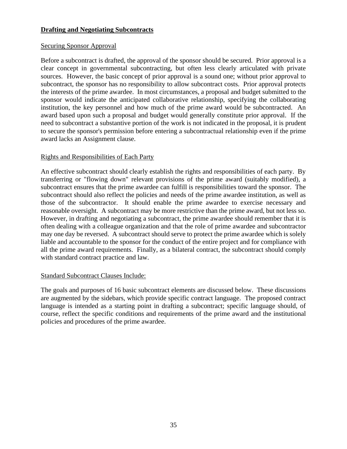## <span id="page-34-0"></span>**Drafting and Negotiating Subcontracts**

## <span id="page-34-1"></span>Securing Sponsor Approval

Before a subcontract is drafted, the approval of the sponsor should be secured. Prior approval is a clear concept in governmental subcontracting, but often less clearly articulated with private sources. However, the basic concept of prior approval is a sound one; without prior approval to subcontract, the sponsor has no responsibility to allow subcontract costs. Prior approval protects the interests of the prime awardee. In most circumstances, a proposal and budget submitted to the sponsor would indicate the anticipated collaborative relationship, specifying the collaborating institution, the key personnel and how much of the prime award would be subcontracted. An award based upon such a proposal and budget would generally constitute prior approval. If the need to subcontract a substantive portion of the work is not indicated in the proposal, it is prudent to secure the sponsor's permission before entering a subcontractual relationship even if the prime award lacks an Assignment clause.

## <span id="page-34-2"></span>Rights and Responsibilities of Each Party

An effective subcontract should clearly establish the rights and responsibilities of each party. By transferring or "flowing down" relevant provisions of the prime award (suitably modified), a subcontract ensures that the prime awardee can fulfill is responsibilities toward the sponsor. The subcontract should also reflect the policies and needs of the prime awardee institution, as well as those of the subcontractor. It should enable the prime awardee to exercise necessary and reasonable oversight. A subcontract may be more restrictive than the prime award, but not less so. However, in drafting and negotiating a subcontract, the prime awardee should remember that it is often dealing with a colleague organization and that the role of prime awardee and subcontractor may one day be reversed. A subcontract should serve to protect the prime awardee which is solely liable and accountable to the sponsor for the conduct of the entire project and for compliance with all the prime award requirements. Finally, as a bilateral contract, the subcontract should comply with standard contract practice and law.

## <span id="page-34-3"></span>Standard Subcontract Clauses Include:

The goals and purposes of 16 basic subcontract elements are discussed below. These discussions are augmented by the sidebars, which provide specific contract language. The proposed contract language is intended as a starting point in drafting a subcontract; specific language should, of course, reflect the specific conditions and requirements of the prime award and the institutional policies and procedures of the prime awardee.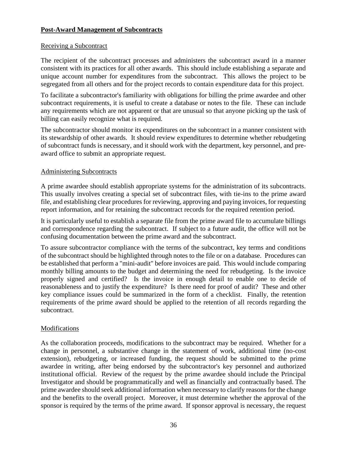## <span id="page-35-0"></span>**Post-Award Management of Subcontracts**

## <span id="page-35-1"></span>Receiving a Subcontract

The recipient of the subcontract processes and administers the subcontract award in a manner consistent with its practices for all other awards. This should include establishing a separate and unique account number for expenditures from the subcontract. This allows the project to be segregated from all others and for the project records to contain expenditure data for this project.

To facilitate a subcontractor's familiarity with obligations for billing the prime awardee and other subcontract requirements, it is useful to create a database or notes to the file. These can include any requirements which are not apparent or that are unusual so that anyone picking up the task of billing can easily recognize what is required.

The subcontractor should monitor its expenditures on the subcontract in a manner consistent with its stewardship of other awards. It should review expenditures to determine whether rebudgeting of subcontract funds is necessary, and it should work with the department, key personnel, and preaward office to submit an appropriate request.

### <span id="page-35-2"></span>Administering Subcontracts

A prime awardee should establish appropriate systems for the administration of its subcontracts. This usually involves creating a special set of subcontract files, with tie-ins to the prime award file, and establishing clear procedures for reviewing, approving and paying invoices, for requesting report information, and for retaining the subcontract records for the required retention period.

It is particularly useful to establish a separate file from the prime award file to accumulate billings and correspondence regarding the subcontract. If subject to a future audit, the office will not be confusing documentation between the prime award and the subcontract.

To assure subcontractor compliance with the terms of the subcontract, key terms and conditions of the subcontract should be highlighted through notes to the file or on a database. Procedures can be established that perform a "mini-audit" before invoices are paid. This would include comparing monthly billing amounts to the budget and determining the need for rebudgeting. Is the invoice properly signed and certified? Is the invoice in enough detail to enable one to decide of reasonableness and to justify the expenditure? Is there need for proof of audit? These and other key compliance issues could be summarized in the form of a checklist. Finally, the retention requirements of the prime award should be applied to the retention of all records regarding the subcontract.

## <span id="page-35-3"></span>Modifications

As the collaboration proceeds, modifications to the subcontract may be required. Whether for a change in personnel, a substantive change in the statement of work, additional time (no-cost extension), rebudgeting, or increased funding, the request should be submitted to the prime awardee in writing, after being endorsed by the subcontractor's key personnel and authorized institutional official. Review of the request by the prime awardee should include the Principal Investigator and should be programmatically and well as financially and contractually based. The prime awardee should seek additional information when necessary to clarify reasons for the change and the benefits to the overall project. Moreover, it must determine whether the approval of the sponsor is required by the terms of the prime award. If sponsor approval is necessary, the request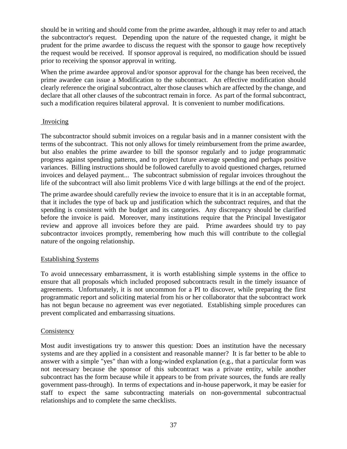should be in writing and should come from the prime awardee, although it may refer to and attach the subcontractor's request. Depending upon the nature of the requested change, it might be prudent for the prime awardee to discuss the request with the sponsor to gauge how receptively the request would be received. If sponsor approval is required, no modification should be issued prior to receiving the sponsor approval in writing.

When the prime awardee approval and/or sponsor approval for the change has been received, the prime awardee can issue a Modification to the subcontract. An effective modification should clearly reference the original subcontract, alter those clauses which are affected by the change, and declare that all other clauses of the subcontract remain in force. As part of the formal subcontract, such a modification requires bilateral approval. It is convenient to number modifications.

### <span id="page-36-0"></span>Invoicing

The subcontractor should submit invoices on a regular basis and in a manner consistent with the terms of the subcontract. This not only allows for timely reimbursement from the prime awardee, but also enables the prime awardee to bill the sponsor regularly and to judge programmatic progress against spending patterns, and to project future average spending and perhaps positive variances. Billing instructions should be followed carefully to avoid questioned charges, returned invoices and delayed payment... The subcontract submission of regular invoices throughout the life of the subcontract will also limit problems Vice d with large billings at the end of the project.

The prime awardee should carefully review the invoice to ensure that it is in an acceptable format, that it includes the type of back up and justification which the subcontract requires, and that the spending is consistent with the budget and its categories. Any discrepancy should be clarified before the invoice is paid. Moreover, many institutions require that the Principal Investigator review and approve all invoices before they are paid. Prime awardees should try to pay subcontractor invoices promptly, remembering how much this will contribute to the collegial nature of the ongoing relationship.

#### <span id="page-36-1"></span>Establishing Systems

To avoid unnecessary embarrassment, it is worth establishing simple systems in the office to ensure that all proposals which included proposed subcontracts result in the timely issuance of agreements. Unfortunately, it is not uncommon for a PI to discover, while preparing the first programmatic report and soliciting material from his or her collaborator that the subcontract work has not begun because no agreement was ever negotiated. Establishing simple procedures can prevent complicated and embarrassing situations.

#### <span id="page-36-2"></span>**Consistency**

Most audit investigations try to answer this question: Does an institution have the necessary systems and are they applied in a consistent and reasonable manner? It is far better to be able to answer with a simple "yes" than with a long-winded explanation (e.g., that a particular form was not necessary because the sponsor of this subcontract was a private entity, while another subcontract has the form because while it appears to be from private sources, the funds are really government pass-through). In terms of expectations and in-house paperwork, it may be easier for staff to expect the same subcontracting materials on non-governmental subcontractual relationships and to complete the same checklists.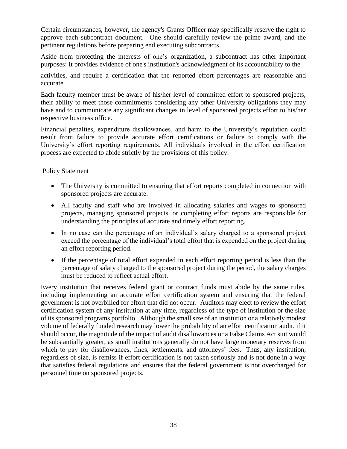Certain circumstances, however, the agency's Grants Officer may specifically reserve the right to approve each subcontract document. One should carefully review the prime award, and the pertinent regulations before preparing end executing subcontracts.

Aside from protecting the interests of one's organization, a subcontract has other important purposes: It provides evidence of one's institution's acknowledgment of its accountability to the

activities, and require a certification that the reported effort percentages are reasonable and accurate.

Each faculty member must be aware of his/her level of committed effort to sponsored projects, their ability to meet those commitments considering any other University obligations they may have and to communicate any significant changes in level of sponsored projects effort to his/her respective business office.

Financial penalties, expenditure disallowances, and harm to the University's reputation could result from failure to provide accurate effort certifications or failure to comply with the University's effort reporting requirements. All individuals involved in the effort certification process are expected to abide strictly by the provisions of this policy.

### <span id="page-37-0"></span>Policy Statement

- The University is committed to ensuring that effort reports completed in connection with sponsored projects are accurate.
- All faculty and staff who are involved in allocating salaries and wages to sponsored projects, managing sponsored projects, or completing effort reports are responsible for understanding the principles of accurate and timely effort reporting.
- In no case can the percentage of an individual's salary charged to a sponsored project exceed the percentage of the individual's total effort that is expended on the project during an effort reporting period.
- If the percentage of total effort expended in each effort reporting period is less than the percentage of salary charged to the sponsored project during the period, the salary charges must be reduced to reflect actual effort.

Every institution that receives federal grant or contract funds must abide by the same rules, including implementing an accurate effort certification system and ensuring that the federal government is not overbilled for effort that did not occur. Auditors may elect to review the effort certification system of any institution at any time, regardless of the type of institution or the size of its sponsored programs portfolio. Although the small size of an institution or a relatively modest volume of federally funded research may lower the probability of an effort certification audit, if it should occur, the magnitude of the impact of audit disallowances or a False Claims Act suit would be substantially greater, as small institutions generally do not have large monetary reserves from which to pay for disallowances, fines, settlements, and attorneys' fees. Thus, any institution, regardless of size, is remiss if effort certification is not taken seriously and is not done in a way that satisfies federal regulations and ensures that the federal government is not overcharged for personnel time on sponsored projects.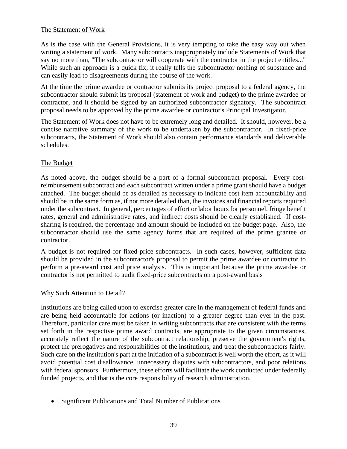## <span id="page-38-0"></span>The Statement of Work

As is the case with the General Provisions, it is very tempting to take the easy way out when writing a statement of work. Many subcontracts inappropriately include Statements of Work that say no more than, "The subcontractor will cooperate with the contractor in the project entitles..." While such an approach is a quick fix, it really tells the subcontractor nothing of substance and can easily lead to disagreements during the course of the work.

At the time the prime awardee or contractor submits its project proposal to a federal agency, the subcontractor should submit its proposal (statement of work and budget) to the prime awardee or contractor, and it should be signed by an authorized subcontractor signatory. The subcontract proposal needs to be approved by the prime awardee or contractor's Principal Investigator.

The Statement of Work does not have to be extremely long and detailed. It should, however, be a concise narrative summary of the work to be undertaken by the subcontractor. In fixed-price subcontracts, the Statement of Work should also contain performance standards and deliverable schedules.

## <span id="page-38-1"></span>The Budget

As noted above, the budget should be a part of a formal subcontract proposal. Every costreimbursement subcontract and each subcontract written under a prime grant should have a budget attached. The budget should be as detailed as necessary to indicate cost item accountability and should be in the same form as, if not more detailed than, the invoices and financial reports required under the subcontract. In general, percentages of effort or labor hours for personnel, fringe benefit rates, general and administrative rates, and indirect costs should be clearly established. If costsharing is required, the percentage and amount should be included on the budget page. Also, the subcontractor should use the same agency forms that are required of the prime grantee or contractor.

A budget is not required for fixed-price subcontracts. In such cases, however, sufficient data should be provided in the subcontractor's proposal to permit the prime awardee or contractor to perform a pre-award cost and price analysis. This is important because the prime awardee or contractor is not permitted to audit fixed-price subcontracts on a post-award basis

#### <span id="page-38-2"></span>Why Such Attention to Detail?

Institutions are being called upon to exercise greater care in the management of federal funds and are being held accountable for actions (or inaction) to a greater degree than ever in the past. Therefore, particular care must be taken in writing subcontracts that are consistent with the terms set forth in the respective prime award contracts, are appropriate to the given circumstances, accurately reflect the nature of the subcontract relationship, preserve the government's rights, protect the prerogatives and responsibilities of the institutions, and treat the subcontractors fairly. Such care on the institution's part at the initiation of a subcontract is well worth the effort, as it will avoid potential cost disallowance, unnecessary disputes with subcontractors, and poor relations with federal sponsors. Furthermore, these efforts will facilitate the work conducted under federally funded projects, and that is the core responsibility of research administration.

• Significant Publications and Total Number of Publications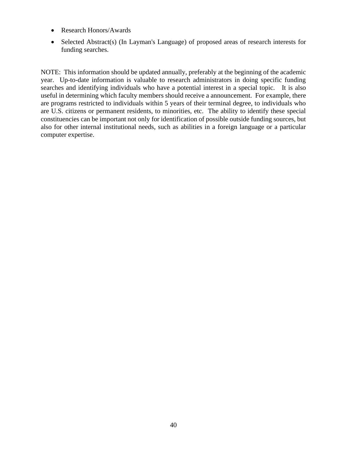- Research Honors/Awards
- Selected Abstract(s) (In Layman's Language) of proposed areas of research interests for funding searches.

NOTE: This information should be updated annually, preferably at the beginning of the academic year. Up-to-date information is valuable to research administrators in doing specific funding searches and identifying individuals who have a potential interest in a special topic. It is also useful in determining which faculty members should receive a announcement. For example, there are programs restricted to individuals within 5 years of their terminal degree, to individuals who are U.S. citizens or permanent residents, to minorities, etc. The ability to identify these special constituencies can be important not only for identification of possible outside funding sources, but also for other internal institutional needs, such as abilities in a foreign language or a particular computer expertise.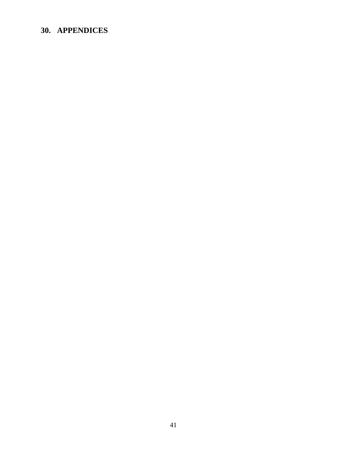## <span id="page-40-0"></span>**30. APPENDICES**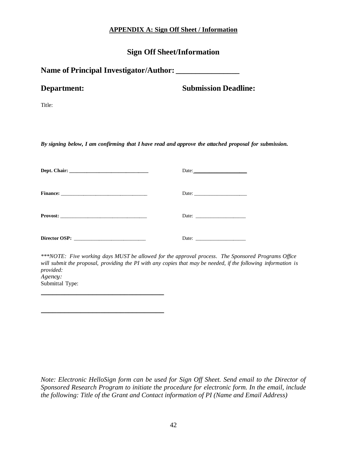## **APPENDIX A: Sign Off Sheet / Information**

## **Sign Off Sheet/Information**

<span id="page-41-0"></span>

|  | Name of Principal Investigator/Author: |  |
|--|----------------------------------------|--|
|--|----------------------------------------|--|

| <b>Department:</b> | <b>Submission Deadline:</b> |
|--------------------|-----------------------------|
|--------------------|-----------------------------|

Title:

*By signing below, I am confirming that I have read and approve the attached proposal for submission.*

|               | Date: $\qquad \qquad$                                    |
|---------------|----------------------------------------------------------|
|               |                                                          |
|               | Date: $\frac{1}{\sqrt{1-\frac{1}{2}} \cdot \frac{1}{2}}$ |
| Director OSP: | Date:                                                    |

**\_\_\_\_\_\_\_\_\_\_\_\_\_\_\_\_\_\_\_\_\_\_\_\_\_\_\_\_\_\_\_**

*\*\*\*NOTE: Five working days MUST be allowed for the approval process. The Sponsored Programs Office will submit the proposal, providing the PI with any copies that may be needed, if the following information is provided: Agency:*  Submittal Type:

*Note: Electronic HelloSign form can be used for Sign Off Sheet. Send email to the Director of Sponsored Research Program to initiate the procedure for electronic form. In the email, include the following: Title of the Grant and Contact information of PI (Name and Email Address)*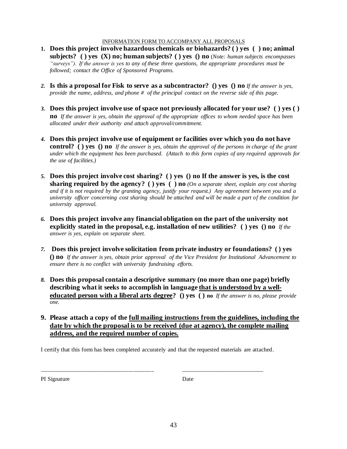#### INFORMATION FORM TO ACCOMPANY ALL PROPOSALS

- **1. Does this project involve hazardous chemicals or biohazards? ( ) yes ( ) no; animal subjects? ( ) yes (X) no; human subjects? ( ) yes () no** (*Note: human subjects encompasses "surveys"). If the answer is yes to any of these three questions, the appropriate procedures must be followed; contact the Office of Sponsored Programs.*
- *2.* **Is this a proposal for Fisk to serve as a subcontractor? () yes () no** *If the answer is yes, provide the name, address, and phone # of the principal contact on the reverse side of this page.*
- *3.* **Does this project involve use of space not previously allocated for your use? ( ) yes ( ) n o** *If the answer is yes, obtain the approval of the appropriate offices to whom needed space has been allocated under their authority and attach approval/commitment.*
- *4.* **Does this project involve use of equipment or facilities over which you do not have control? ( ) yes () no** *If the answer is yes, obtain the approval of the persons in charge of the grant under which the equipment has been purchased. (Attach to this form copies of any required approvals for the use of facilities.)*
- *5.* **Does this project involve cost sharing? ( ) yes () no If the answer is yes, is the cost sharing required by the agency? ( ) yes ( ) no** *(On a separate sheet, explain any cost sharing and if it is not required by the granting agency, justify your request.) Any agreement between you and a university officer concerning cost sharing should be attached and will be made a part of the condition for university approval.*
- *6.* **Does this project involve any financial obligation on the part of the university not explicitly stated in the proposal, e.g. installation of new utilities? ( ) yes () no** *If the answer is yes, explain on separate sheet.*
- *7.* **Does this project involve solicitation from private industry or foundations? ( ) yes () no** *If the answer is yes, obtain prior approval of the Vice President for Institutional Advancement to ensure there is no conflict with university fundraising efforts.*
- *8.* **Does this proposal contain a descriptive summary (no more than one page) briefly describing what it seeks to accomplish in language that is understood by a welleducated person with a liberal arts degree? () yes ( ) no** *If the answer is no, please provide one.*
- **9 . Please attach a copy of the full mailing instructions from the guidelines, including the date by which the proposal is to be received (due at agency), the complete mailing address, and the required number of copies.**

I certify that this form has been completed accurately and that the requested materials are attached.

PI Signature Date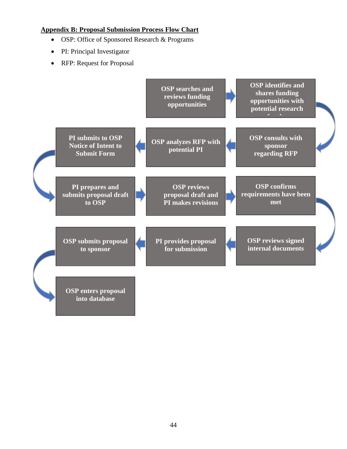## <span id="page-43-0"></span>**Appendix B: Proposal Submission Process Flow Chart**

- OSP: Office of Sponsored Research & Programs
- PI: Principal Investigator
- RFP: Request for Proposal